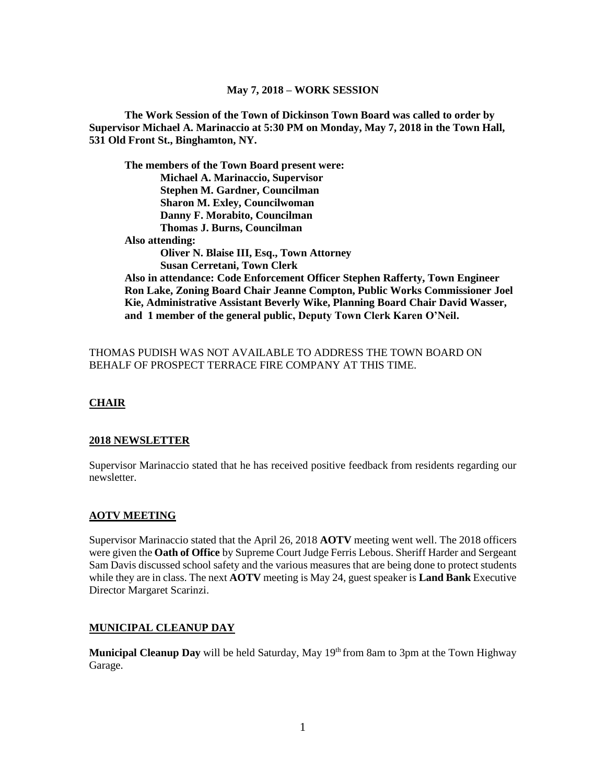### **May 7, 2018 – WORK SESSION**

**The Work Session of the Town of Dickinson Town Board was called to order by Supervisor Michael A. Marinaccio at 5:30 PM on Monday, May 7, 2018 in the Town Hall, 531 Old Front St., Binghamton, NY.**

**The members of the Town Board present were: Michael A. Marinaccio, Supervisor Stephen M. Gardner, Councilman Sharon M. Exley, Councilwoman Danny F. Morabito, Councilman Thomas J. Burns, Councilman Also attending: Oliver N. Blaise III, Esq., Town Attorney Susan Cerretani, Town Clerk Also in attendance: Code Enforcement Officer Stephen Rafferty, Town Engineer Ron Lake, Zoning Board Chair Jeanne Compton, Public Works Commissioner Joel Kie, Administrative Assistant Beverly Wike, Planning Board Chair David Wasser, and 1 member of the general public, Deputy Town Clerk Karen O'Neil.**

### THOMAS PUDISH WAS NOT AVAILABLE TO ADDRESS THE TOWN BOARD ON BEHALF OF PROSPECT TERRACE FIRE COMPANY AT THIS TIME.

# **CHAIR**

### **2018 NEWSLETTER**

Supervisor Marinaccio stated that he has received positive feedback from residents regarding our newsletter.

#### **AOTV MEETING**

Supervisor Marinaccio stated that the April 26, 2018 **AOTV** meeting went well. The 2018 officers were given the **Oath of Office** by Supreme Court Judge Ferris Lebous. Sheriff Harder and Sergeant Sam Davis discussed school safety and the various measures that are being done to protect students while they are in class. The next **AOTV** meeting is May 24, guest speaker is **Land Bank** Executive Director Margaret Scarinzi.

#### **MUNICIPAL CLEANUP DAY**

**Municipal Cleanup Day** will be held Saturday, May 19<sup>th</sup> from 8am to 3pm at the Town Highway Garage.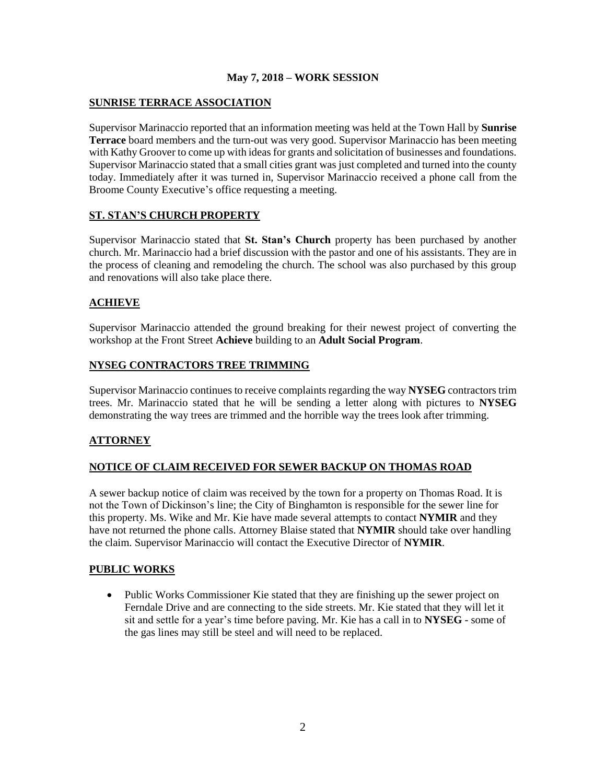### **May 7, 2018 – WORK SESSION**

## **SUNRISE TERRACE ASSOCIATION**

Supervisor Marinaccio reported that an information meeting was held at the Town Hall by **Sunrise Terrace** board members and the turn-out was very good. Supervisor Marinaccio has been meeting with Kathy Groover to come up with ideas for grants and solicitation of businesses and foundations. Supervisor Marinaccio stated that a small cities grant was just completed and turned into the county today. Immediately after it was turned in, Supervisor Marinaccio received a phone call from the Broome County Executive's office requesting a meeting.

## **ST. STAN'S CHURCH PROPERTY**

Supervisor Marinaccio stated that **St. Stan's Church** property has been purchased by another church. Mr. Marinaccio had a brief discussion with the pastor and one of his assistants. They are in the process of cleaning and remodeling the church. The school was also purchased by this group and renovations will also take place there.

# **ACHIEVE**

Supervisor Marinaccio attended the ground breaking for their newest project of converting the workshop at the Front Street **Achieve** building to an **Adult Social Program**.

### **NYSEG CONTRACTORS TREE TRIMMING**

Supervisor Marinaccio continues to receive complaints regarding the way **NYSEG** contractors trim trees. Mr. Marinaccio stated that he will be sending a letter along with pictures to **NYSEG** demonstrating the way trees are trimmed and the horrible way the trees look after trimming.

# **ATTORNEY**

### **NOTICE OF CLAIM RECEIVED FOR SEWER BACKUP ON THOMAS ROAD**

A sewer backup notice of claim was received by the town for a property on Thomas Road. It is not the Town of Dickinson's line; the City of Binghamton is responsible for the sewer line for this property. Ms. Wike and Mr. Kie have made several attempts to contact **NYMIR** and they have not returned the phone calls. Attorney Blaise stated that **NYMIR** should take over handling the claim. Supervisor Marinaccio will contact the Executive Director of **NYMIR**.

### **PUBLIC WORKS**

• Public Works Commissioner Kie stated that they are finishing up the sewer project on Ferndale Drive and are connecting to the side streets. Mr. Kie stated that they will let it sit and settle for a year's time before paving. Mr. Kie has a call in to **NYSEG** - some of the gas lines may still be steel and will need to be replaced.